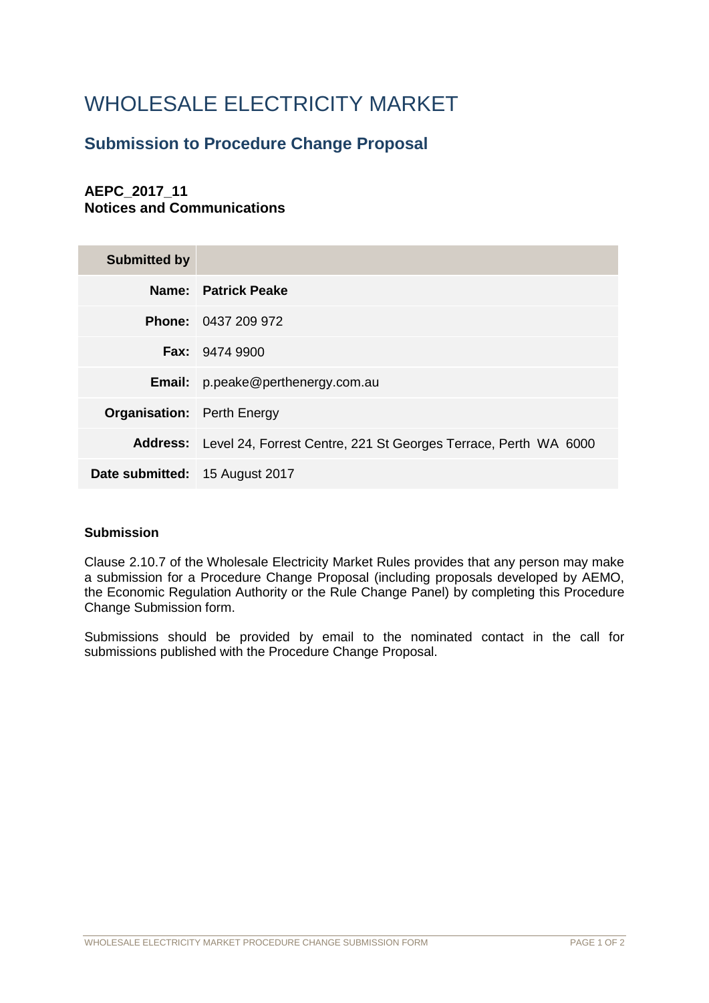# WHOLESALE ELECTRICITY MARKET

## **Submission to Procedure Change Proposal**

## **AEPC\_2017\_11 Notices and Communications**

| <b>Submitted by</b>                   |                                                                          |
|---------------------------------------|--------------------------------------------------------------------------|
|                                       | Name: Patrick Peake                                                      |
|                                       | <b>Phone: 0437 209 972</b>                                               |
|                                       | <b>Fax: 9474 9900</b>                                                    |
|                                       | <b>Email:</b> p.peake@perthenergy.com.au                                 |
| <b>Organisation:</b> Perth Energy     |                                                                          |
|                                       | Address: Level 24, Forrest Centre, 221 St Georges Terrace, Perth WA 6000 |
| <b>Date submitted:</b> 15 August 2017 |                                                                          |

### **Submission**

Clause 2.10.7 of the Wholesale Electricity Market Rules provides that any person may make a submission for a Procedure Change Proposal (including proposals developed by AEMO, the Economic Regulation Authority or the Rule Change Panel) by completing this Procedure Change Submission form.

Submissions should be provided by email to the nominated contact in the call for submissions published with the Procedure Change Proposal.